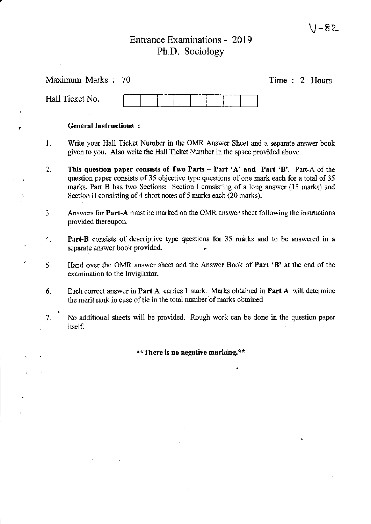# $V-82$

 $\hat{\mathbf{r}}$ 

# Entrance Examinations - 2019 Ph.D. Sociology

,

j.

 $\bar{\mathbb{Q}}$ 

 $\mathbf{r}$ 

|                                   | Maximum Marks: 70<br>Time: 2 Hours                                                                                                                                                                                                                                                                                                          |  |  |  |  |
|-----------------------------------|---------------------------------------------------------------------------------------------------------------------------------------------------------------------------------------------------------------------------------------------------------------------------------------------------------------------------------------------|--|--|--|--|
|                                   | Hall Ticket No.                                                                                                                                                                                                                                                                                                                             |  |  |  |  |
|                                   | <b>General Instructions:</b>                                                                                                                                                                                                                                                                                                                |  |  |  |  |
| 1.                                | Write your Hall Ticket Number in the OMR Answer Sheet and a separate answer book<br>given to you. Also write the Hall Ticket Number in the space provided above.                                                                                                                                                                            |  |  |  |  |
| 2.                                | This question paper consists of Two Parts - Part 'A' and Part 'B'. Part-A of the<br>question paper consists of 35 objective type questions of one mark each for a total of 35<br>marks. Part B has two Sections: Section I consisting of a long answer (15 marks) and<br>Section II consisting of 4 short notes of 5 marks each (20 marks). |  |  |  |  |
| 3.                                | Answers for <b>Part-A</b> must be marked on the OMR answer sheet following the instructions<br>provided thereupon.                                                                                                                                                                                                                          |  |  |  |  |
| 4.                                | Part-B consists of descriptive type questions for 35 marks and to be answered in a<br>separate answer book provided.                                                                                                                                                                                                                        |  |  |  |  |
| 5.                                | Hand over the OMR answer sheet and the Answer Book of Part 'B' at the end of the<br>examination to the Invigilator.                                                                                                                                                                                                                         |  |  |  |  |
| 6.                                | Each correct answer in Part A carries 1 mark. Marks obtained in Part A will determine<br>the merit rank in case of tie in the total number of marks obtained                                                                                                                                                                                |  |  |  |  |
| 7.                                | No additional sheets will be provided. Rough work can be done in the question paper<br>itself.                                                                                                                                                                                                                                              |  |  |  |  |
| **There is no negative marking.** |                                                                                                                                                                                                                                                                                                                                             |  |  |  |  |
|                                   |                                                                                                                                                                                                                                                                                                                                             |  |  |  |  |
|                                   |                                                                                                                                                                                                                                                                                                                                             |  |  |  |  |
|                                   | the control of the control of the                                                                                                                                                                                                                                                                                                           |  |  |  |  |
|                                   |                                                                                                                                                                                                                                                                                                                                             |  |  |  |  |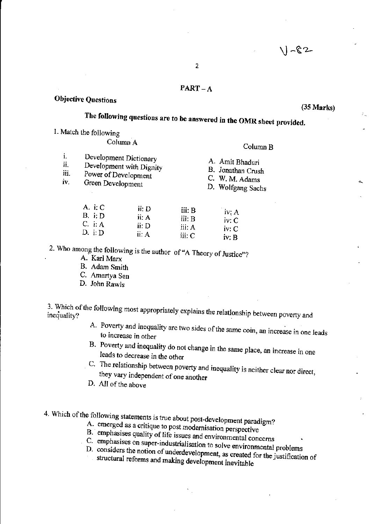## PART-A

## **Objective Questions**

#### (35 Marks)

# The following questions are to be answered in the OMR sheet provided.

1. Match the following

# ColumnA Column B

| i.<br>Development Dictionary<br>ii.<br>Development with Dignity<br>iii.<br>Power of Development<br>iv.<br>Green Development | A. Amit Bhaduri<br>B. Jonathan Crush<br>C. W. M. Adams<br>D. Wolfgang Sachs |
|-----------------------------------------------------------------------------------------------------------------------------|-----------------------------------------------------------------------------|
|-----------------------------------------------------------------------------------------------------------------------------|-----------------------------------------------------------------------------|

| A. $i: C$ | ii: D | iii: B | iv: A |
|-----------|-------|--------|-------|
| B. i:D    | ii: A | iii: B | iv: C |
| $C.$ i: A | ii: D | iii: A | iv: C |
| D. i: D   | ii: A | iii: C | iv: B |

2. Who among the following is the author of "A Theory of Justice"?

- A: Karl Marx
- B. Adam Smith
- C. Amartya Sen
- D. John Rawls

3. Which of the following most appropriately explains the relationship between poverty and

- A. Poverty and inequality are two sides of the same coin, an increase in one leads to increase in other
- B. Poverty and inequality do not change in the same place, an increase in one leads to decrease in the other
- C. The relationship between poverty and inequality is neither clear nor direct, they vary independent of one another
- D. All of the above

4. Which of the following statements is true about post-development paradigm?

- A. emerged as a critique to post modernisation perspective
- B. emphasises quality of life issues and environmental concerns
- 
- C. emphasises on super-industrialisation to solve environmental problems
- D. considers the notion of underdevelopment, as created for the justification of structural reforms and making development inevitable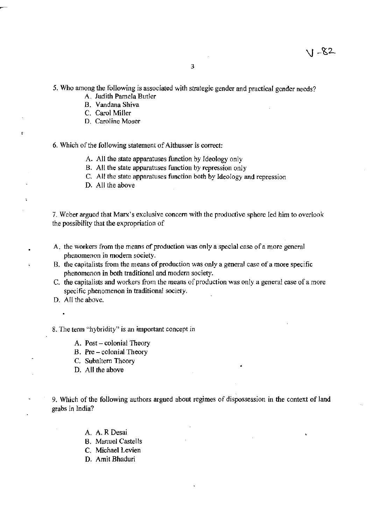5. Who among the following is associated with strategic gender and practical gender needs?

- A. Judith Pamela Butler
- B. Vandana Shiva
- C. Carol Miller

 $\mathbf{c}$ 

i.

À.

D. Caroline Moser

6, Which of the following statement of Althusser is correct:

- A. All the state apparatuses function by Ideology only
- B. All the state apparatuses function by repression only
- C. All the state apparatuses function both by Ideology and repression
- D. All the above

7. Weber argued that Marx's exclusive concern with the productive sphere led him to overlook the possibility that the expropriation of

- A. the workers from the means of production was only a special case of a more general phenomenon in modem society.
- B. the capitalists from the means of production was only a general case of a more specific phenomenon in both traditional and modem society.
- C. the capitalists and workers from the means of production was only a general case of a more specific phenomenon in traditional society.
- D. All the above.

8. The tenn "hybridity" is an important concept in

- A. Post colonial Theory
- B. Pre colonial Theory
- C. Subaltern Theory
- D. All the above
- 9. Which of the following authors argued about regimes of dispossession in the context of land grabs in India?
	- A. A.R Desai
	- B. Manuel Castells
	- C. Michael Levien
	- D. Amit Bhaduri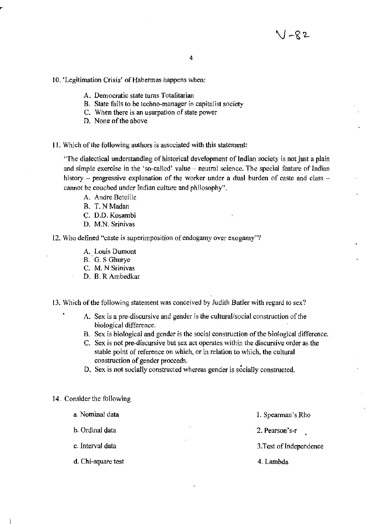10. 'Legitimation Crisis' of Habermas happens when:

- A. Democratic state turns Totalitarian
- B. State fails to be techno-manager in capitalist society
- C. When there is an usurpation of state power
- D. None of the above
- II. Which of the following authors is associated with this statement:

''The dialectical understanding of historical development of Indian society is not just a plain and simple exercise in the 'so-called' value - neutral science. The special feature of Indian history  $-$  progressive explanation of the worker under a dual burden of caste and class  $$ cannot be couched under Indian culture and philosophy".

- A. Andre Beteille
- B. T.NMadan
- C. D.O. Kosambi
- D. M,N. Srinivas
- 12. Who defined "caste is superimposition of endogamy over exogamy"?
	- A. Louis Dumont
	- B. G. S Ghurye
	- C. M. N Srinivas
	- D. B. R Ambedkar
- 13. Which of the following statement was conceived by Judith Butler with regard to sex?
	- A. Sex is a pre-discursive and gender is the cultural/social construction of the biological difference.
	- S. Sex is biological and gender is the social construction of the biological difference.
	- C. Sex is not pre-discursive but sex act operates within the discursive order as the stable point of reference on which, or in relation to which, the cultural construction of gender proceeds.
	- D. Sex is not socially constructed whereas gender is socially constructed.

14. Consider the following

- a. Nominal data 1. Spearman's Rho h. Ordinal data 2. Pearson's-r
- c. Interval data 3.Test of Independence
	-
- d. Chi-square test 4. Lambda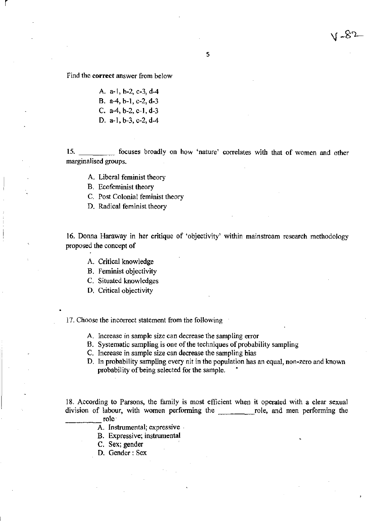82ء ر

Find the **correct** answer from below

r I

A. a-I, b-2, c-3, d-4 B. a-4, b-I, c-2, d-3 C. a-4, b-2, c-I, d-3

D. a-I, b-3, c-2, d-4

15. \_\_\_\_\_ focuses broadly on how 'nature' correlates with that of women and other marginalised groups.

- A. Liberal feminist theory
- B. Ecofeminist theory
- C. Post Colonial feminist theory
- D. Radical feminist theory

16. Donna Haraway in her critique of 'objectivity' within mainstream research methodology proposed the concept of

- A. Critical knowledge
- B. Feminist objectivity
- C. Situated knowledges
- D. Critical objectivity

17. Choose the incorrect statement from the following

- A. Increase in sample size can decrease the sampling error
- B. Systematic sampling is one of the techniques of probability sampling
- C. Increase in sample size can decrease the sampling bias
- D. In probability sampling every nit in the population has an equal, non-zero and known probability of being selected for the sample.

18. According to Parsons, the family is most efficient when it operated with a clear sexual division of labour, with women performing the <u>role</u>, and men performing the role.

- A. Instrumental; expressive
- B. Expressive; instrumental
- C. Sex; gender
- D. Gender: Sex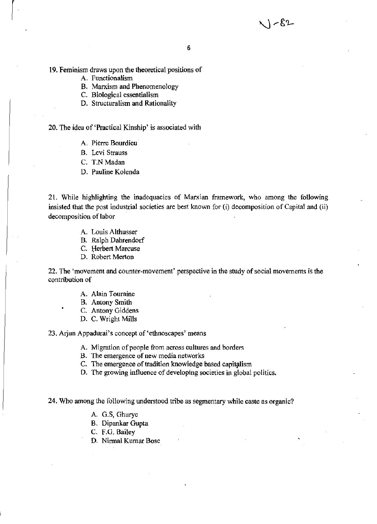$\sqrt{-82}$ 

19. Feminism draws upon the theoretical positions of

A, Functionalism

r

- B. Marxism and Phenomenology
- C. Biological essentialism
- D. Structuralism and Rationality

20. The idea of 'Practical Kinship' is associated with

- A. Pierre Bourdieu
- B. Levi Strauss
- C. T.N Madan
- D. Pauline Kolenda

21. While highlighting the inadequacies of Marxian framework, who among the following insisted that the post industrial societies are best known for (i) decomposition of Capital and (ii) decomposition of labor

- A. Louis Althusser
- B. Ralph Dahrendorf
- C. Herbert Marcuse
- D. Robert Merton

22. The 'movement and counter-movement' perspective in the study of social movements is the contribution of

- A. Alain Touraine
- B. Antony Smith
- C. Antony Giddens
- D. C. Wright Mills

23. Arjun Appadurai's concept of'ethnoscapes' means

- A. Migration of people from across cultures and borders
- B. The emergence of new media networks
- C. The emergence of tradition knowledge based capitalism
- D. The growing influence of developing societies in global politics.

24. Who among the following understood tribe as segmentary while caste as organic?

- A. G.S, Ghurye
- B. Dipankar Gupta
- C. F.G. Bailey
- D. Nirmal Kumar Bose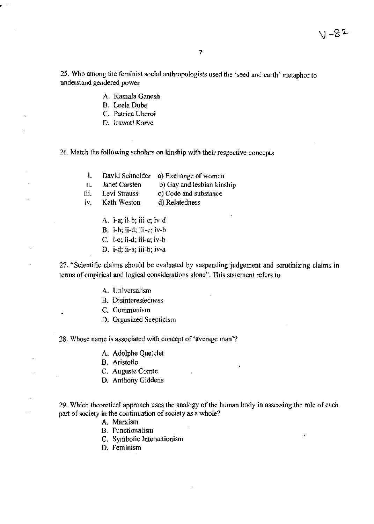$V - 82$ 

25. Who among the feminist social anthropologists used the 'seed and earth' metaphor to understand gendered power

- A. Kamala Ganesh
- B. Leela Dube

~-

- C. Patriea Uberoi
- D. lrawati Karve

26. Match the following scholars on kinship with their respective concepts

- i. David Schneider a) Exchange of women
- ii. Janet Carsten b) Gay and lesbian kinship

iii. Levi Strauss c) Code and substance

- iv. Kath Weston d) Relatedness
	- A. i-a; ii-b; iii-c; iv-d
	- B. i-b; ii-d; iii-c; iv-b
	- C. i-c; ii-d; iii-a; iv-b
	- D. i-d; ii-a; iii-b; iv-a

27. "Scientific claims should be evaluated by suspending judgement and scrutinizing claims in terms of empirical and logical considerations alone". This statement refers to

- A. Universalism
- B. Disinterestedness
- C. Communism
- D. Organized Scepticism

## 28. Whose name is associated with concept of 'average man'?

- A. Adolphe Quetelet
- B. Aristotle
- C. Auguste Comte
- D. Anthony Giddens

29. Which theoretical approach uses the analogy of the human body in assessing the role of each part of society in the continuation of society as a whole?

- A. Marxism
- B. Functionalism
- C. Symbolic Interactionism
- D. Feminism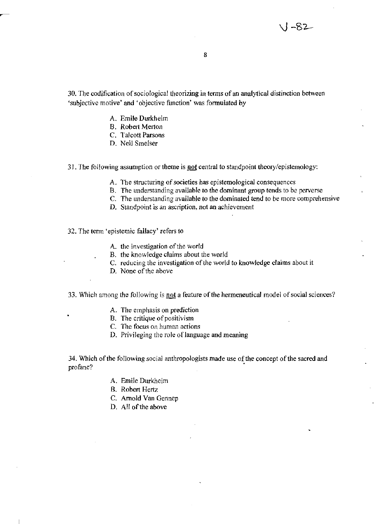$1 - 82$ 

8

30. The codification of sociological theorizing in tenns of an analytical distinction between 'subjective motive' and 'objective function' was fonnulated by

- A, Emile Durkheim
- B. Robert Merton
- C. TaJcott Parsons
- D. Neil Smelser
- 31. The following assumption or theme is **not** central to standpoint theory/epistemology:
	- A. The structuring of societies has epistemological consequences
	- B. The understanding available to the dominant group tends to be perverse
	- C. The understanding available to the dominated tend to be more comprehensive
	- D. Standpoint is an ascription, not an achievement
- 32. The term 'epistemic fallacy' refers to
	- A. the investigation of the world
	- B. the knowledge claims about the world
	- C. reducing the investigation of the world to knowledge claims about it
	- D. None of the above
- 33. Which among the following is not a feature of the hermeneutical model of social sciences?
	- A. The emphasis on prediction
	- B. The critique of positivism
	- C. 1ne focus on human actions
	- D. Privileging the role of language and meaning

34. Which of the following social anthropologists made use of the concept of the sacred and profane?

- A. Emile Durkheim
- B. Robert Hertz
- C. Arnold Van Gennep
- D. All of the above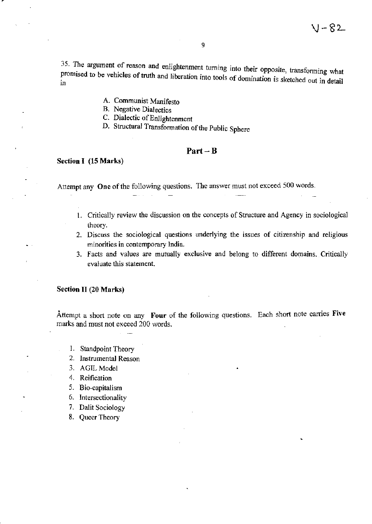35. The argument of reason and enlightenment turning into their opposite, transforming what promised to be vehicles of truth and liberation into tools of domination is sketched out in detail

A. Communist Manifesto

B. Negative Dialectics

- C. Dialectic of Enlightenment
- D. Structural Transformation of the Public Sphere

## Part-B

#### Section I (15 Marks)

Attempt any **One** of the following questions. The answer must not exceed 500 words.

- 1, Critically review the discussion on the concepts of Structure and Agency in sociological theory.
- 2. Discuss the sociological questions underlying the issues of citizenship and religious minorities in contemporary India.
- 3. Facts and values are mutually exclusive and belong to different domains. Critically evaluate this statement.

#### Section II (20 Marks)

Attempt a short note on any **Four** of the following questions. Each short note carries **Five**  marks and must not exceed 200 words.

- I. Standpoint Theory
- 2. Instrumental Reason
- 3. AGIL Model
- 4. Reification
- 5. Bio-capitalism
- 6. Intersectionality
- 7. Dalit Sociology
- 8. Queer Theory